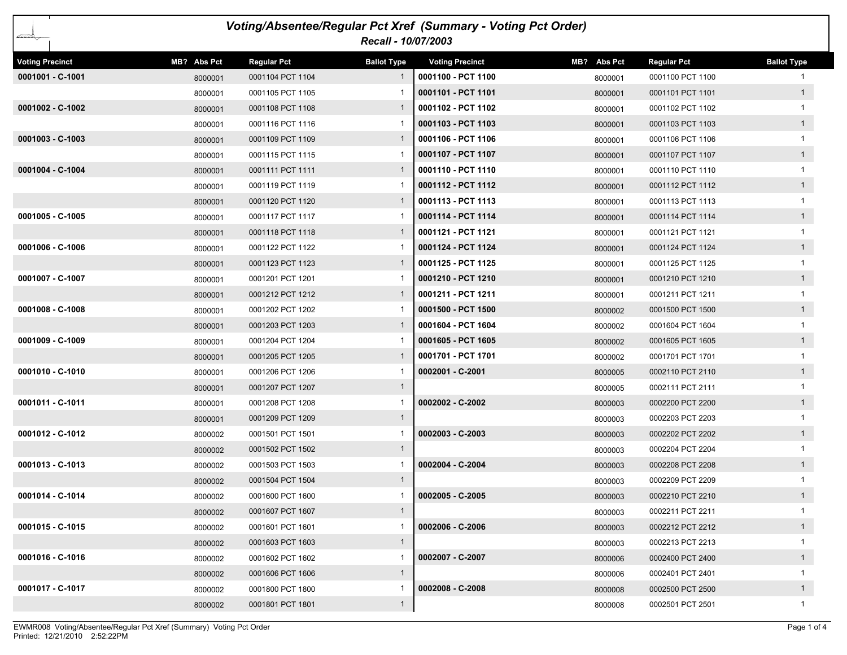| Voting/Absentee/Regular Pct Xref (Summary - Voting Pct Order)<br>Recall - 10/07/2003 |             |                    |                    |                        |             |                    |                    |  |
|--------------------------------------------------------------------------------------|-------------|--------------------|--------------------|------------------------|-------------|--------------------|--------------------|--|
| <b>Voting Precinct</b>                                                               | MB? Abs Pct | <b>Regular Pct</b> | <b>Ballot Type</b> | <b>Voting Precinct</b> | MB? Abs Pct | <b>Regular Pct</b> | <b>Ballot Type</b> |  |
| 0001001 - C-1001                                                                     | 8000001     | 0001104 PCT 1104   | 1                  | 0001100 - PCT 1100     | 8000001     | 0001100 PCT 1100   |                    |  |
|                                                                                      | 8000001     | 0001105 PCT 1105   |                    | 0001101 - PCT 1101     | 8000001     | 0001101 PCT 1101   | 1                  |  |
| 0001002 - C-1002                                                                     | 8000001     | 0001108 PCT 1108   | 1                  | 0001102 - PCT 1102     | 8000001     | 0001102 PCT 1102   |                    |  |
|                                                                                      | 8000001     | 0001116 PCT 1116   |                    | 0001103 - PCT 1103     | 8000001     | 0001103 PCT 1103   | 1                  |  |
| $0001003 - C-1003$                                                                   | 8000001     | 0001109 PCT 1109   | $\mathbf{1}$       | 0001106 - PCT 1106     | 8000001     | 0001106 PCT 1106   | $\mathbf 1$        |  |
|                                                                                      | 8000001     | 0001115 PCT 1115   |                    | 0001107 - PCT 1107     | 8000001     | 0001107 PCT 1107   | 1                  |  |
| 0001004 - C-1004                                                                     | 8000001     | 0001111 PCT 1111   | 1                  | 0001110 - PCT 1110     | 8000001     | 0001110 PCT 1110   | 1                  |  |
|                                                                                      | 8000001     | 0001119 PCT 1119   |                    | 0001112 - PCT 1112     | 8000001     | 0001112 PCT 1112   | 1                  |  |
|                                                                                      | 8000001     | 0001120 PCT 1120   | 1                  | 0001113 - PCT 1113     | 8000001     | 0001113 PCT 1113   | 1                  |  |
| $0001005 - C - 1005$                                                                 | 8000001     | 0001117 PCT 1117   |                    | 0001114 - PCT 1114     | 8000001     | 0001114 PCT 1114   | 1                  |  |
|                                                                                      | 8000001     | 0001118 PCT 1118   | $\mathbf{1}$       | 0001121 - PCT 1121     | 8000001     | 0001121 PCT 1121   |                    |  |
| 0001006 - C-1006                                                                     | 8000001     | 0001122 PCT 1122   |                    | 0001124 - PCT 1124     | 8000001     | 0001124 PCT 1124   | 1                  |  |
|                                                                                      | 8000001     | 0001123 PCT 1123   | $\mathbf{1}$       | 0001125 - PCT 1125     | 8000001     | 0001125 PCT 1125   | 1                  |  |
| 0001007 - C-1007                                                                     | 8000001     | 0001201 PCT 1201   |                    | 0001210 - PCT 1210     | 8000001     | 0001210 PCT 1210   | 1                  |  |
|                                                                                      | 8000001     | 0001212 PCT 1212   | $\mathbf{1}$       | 0001211 - PCT 1211     | 8000001     | 0001211 PCT 1211   | $\mathbf{1}$       |  |
| $0001008 - C - 1008$                                                                 | 8000001     | 0001202 PCT 1202   |                    | 0001500 - PCT 1500     | 8000002     | 0001500 PCT 1500   | 1                  |  |
|                                                                                      | 8000001     | 0001203 PCT 1203   | $\mathbf{1}$       | 0001604 - PCT 1604     | 8000002     | 0001604 PCT 1604   | $\mathbf{1}$       |  |
| $0001009 - C-1009$                                                                   | 8000001     | 0001204 PCT 1204   |                    | 0001605 - PCT 1605     | 8000002     | 0001605 PCT 1605   | 1                  |  |
|                                                                                      | 8000001     | 0001205 PCT 1205   | $\mathbf{1}$       | 0001701 - PCT 1701     | 8000002     | 0001701 PCT 1701   | 1                  |  |
| 0001010 - C-1010                                                                     | 8000001     | 0001206 PCT 1206   |                    | 0002001 - C-2001       | 8000005     | 0002110 PCT 2110   | 1                  |  |
|                                                                                      | 8000001     | 0001207 PCT 1207   | $\mathbf{1}$       |                        | 8000005     | 0002111 PCT 2111   |                    |  |
| 0001011 - C-1011                                                                     | 8000001     | 0001208 PCT 1208   |                    | 0002002 - C-2002       | 8000003     | 0002200 PCT 2200   | 1                  |  |
|                                                                                      | 8000001     | 0001209 PCT 1209   | $\mathbf{1}$       |                        | 8000003     | 0002203 PCT 2203   | $\mathbf{1}$       |  |
| 0001012 - C-1012                                                                     | 8000002     | 0001501 PCT 1501   | -1                 | 0002003 - C-2003       | 8000003     | 0002202 PCT 2202   | 1                  |  |
|                                                                                      | 8000002     | 0001502 PCT 1502   | $\mathbf{1}$       |                        | 8000003     | 0002204 PCT 2204   |                    |  |
| 0001013 - C-1013                                                                     | 8000002     | 0001503 PCT 1503   |                    | 0002004 - C-2004       | 8000003     | 0002208 PCT 2208   | 1                  |  |
|                                                                                      | 8000002     | 0001504 PCT 1504   | $\mathbf{1}$       |                        | 8000003     | 0002209 PCT 2209   |                    |  |
| 0001014 - C-1014                                                                     | 8000002     | 0001600 PCT 1600   | $\mathbf{1}$       | $ 0002005 - C-2005$    | 8000003     | 0002210 PCT 2210   |                    |  |
|                                                                                      | 8000002     | 0001607 PCT 1607   | $\mathbf{1}$       |                        | 8000003     | 0002211 PCT 2211   | $\mathbf 1$        |  |
| 0001015 - C-1015                                                                     | 8000002     | 0001601 PCT 1601   |                    | 0002006 - C-2006       | 8000003     | 0002212 PCT 2212   | 1                  |  |
|                                                                                      | 8000002     | 0001603 PCT 1603   | $\mathbf{1}$       |                        | 8000003     | 0002213 PCT 2213   | $\mathbf{1}$       |  |
| 0001016 - C-1016                                                                     | 8000002     | 0001602 PCT 1602   | 1                  | 0002007 - C-2007       | 8000006     | 0002400 PCT 2400   | 1                  |  |
|                                                                                      | 8000002     | 0001606 PCT 1606   | $\mathbf{1}$       |                        | 8000006     | 0002401 PCT 2401   | 1                  |  |
| 0001017 - C-1017                                                                     | 8000002     | 0001800 PCT 1800   | 1                  | 0002008 - C-2008       | 8000008     | 0002500 PCT 2500   | 1                  |  |
|                                                                                      | 8000002     | 0001801 PCT 1801   | $\mathbf{1}$       |                        | 8000008     | 0002501 PCT 2501   | $\mathbf{1}$       |  |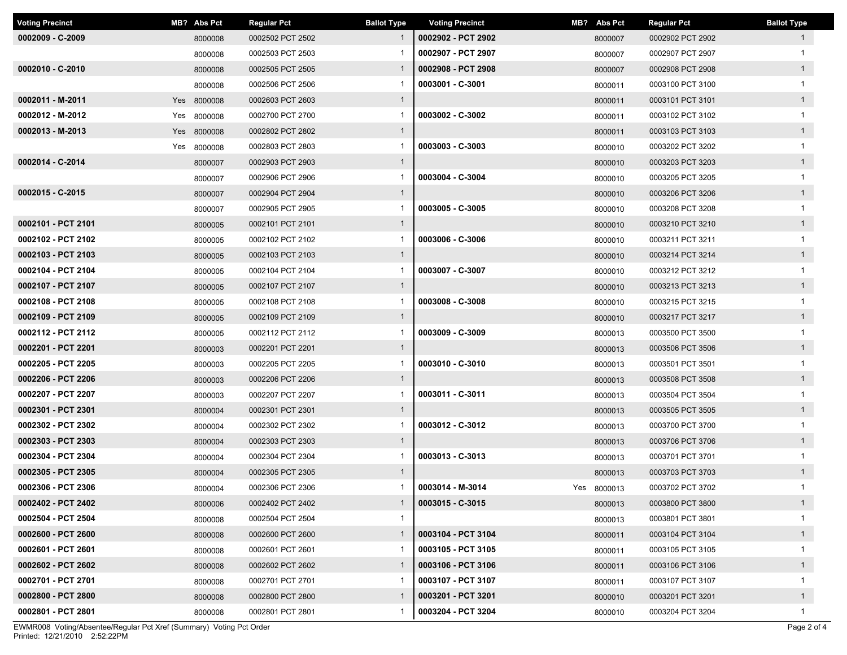| <b>Voting Precinct</b> | MB? Abs Pct | <b>Regular Pct</b> | <b>Ballot Type</b> | <b>Voting Precinct</b> | MB? Abs Pct | Regular Pct      | <b>Ballot Type</b> |
|------------------------|-------------|--------------------|--------------------|------------------------|-------------|------------------|--------------------|
| 0002009 - C-2009       | 8000008     | 0002502 PCT 2502   | $\mathbf{1}$       | 0002902 - PCT 2902     | 8000007     | 0002902 PCT 2902 | $\mathbf{1}$       |
|                        | 8000008     | 0002503 PCT 2503   |                    | 0002907 - PCT 2907     | 8000007     | 0002907 PCT 2907 |                    |
| 0002010 - C-2010       | 8000008     | 0002505 PCT 2505   | $\mathbf{1}$       | 0002908 - PCT 2908     | 8000007     | 0002908 PCT 2908 | 1                  |
|                        | 8000008     | 0002506 PCT 2506   |                    | 0003001 - C-3001       | 8000011     | 0003100 PCT 3100 | $\mathbf 1$        |
| 0002011 - M-2011       | Yes 8000008 | 0002603 PCT 2603   | $\mathbf{1}$       |                        | 8000011     | 0003101 PCT 3101 | $\mathbf{1}$       |
| 0002012 - M-2012       | Yes 8000008 | 0002700 PCT 2700   | 1                  | 0003002 - C-3002       | 8000011     | 0003102 PCT 3102 |                    |
| 0002013 - M-2013       | Yes 8000008 | 0002802 PCT 2802   | $\mathbf{1}$       |                        | 8000011     | 0003103 PCT 3103 | $\mathbf{1}$       |
|                        | Yes 8000008 | 0002803 PCT 2803   | $\mathbf{1}$       | 0003003 - C-3003       | 8000010     | 0003202 PCT 3202 | $\mathbf{1}$       |
| 0002014 - C-2014       | 8000007     | 0002903 PCT 2903   | $\mathbf{1}$       |                        | 8000010     | 0003203 PCT 3203 | $\mathbf{1}$       |
|                        | 8000007     | 0002906 PCT 2906   | $\mathbf{1}$       | 0003004 - C-3004       | 8000010     | 0003205 PCT 3205 | $\mathbf{1}$       |
| 0002015 - C-2015       | 8000007     | 0002904 PCT 2904   | $\mathbf{1}$       |                        | 8000010     | 0003206 PCT 3206 | $\mathbf{1}$       |
|                        | 8000007     | 0002905 PCT 2905   | $\mathbf{1}$       | 0003005 - C-3005       | 8000010     | 0003208 PCT 3208 | $\mathbf{1}$       |
| 0002101 - PCT 2101     | 8000005     | 0002101 PCT 2101   | $\mathbf{1}$       |                        | 8000010     | 0003210 PCT 3210 | $\mathbf{1}$       |
| 0002102 - PCT 2102     | 8000005     | 0002102 PCT 2102   | 1                  | 0003006 - C-3006       | 8000010     | 0003211 PCT 3211 | $\mathbf 1$        |
| 0002103 - PCT 2103     | 8000005     | 0002103 PCT 2103   | $\mathbf{1}$       |                        | 8000010     | 0003214 PCT 3214 | $\mathbf{1}$       |
| 0002104 - PCT 2104     | 8000005     | 0002104 PCT 2104   | 1                  | 0003007 - C-3007       | 8000010     | 0003212 PCT 3212 |                    |
| 0002107 - PCT 2107     | 8000005     | 0002107 PCT 2107   | $\mathbf{1}$       |                        | 8000010     | 0003213 PCT 3213 | $\mathbf{1}$       |
| 0002108 - PCT 2108     | 8000005     | 0002108 PCT 2108   | 1                  | 0003008 - C-3008       | 8000010     | 0003215 PCT 3215 | $\mathbf 1$        |
| 0002109 - PCT 2109     | 8000005     | 0002109 PCT 2109   | $\mathbf{1}$       |                        | 8000010     | 0003217 PCT 3217 | $\mathbf{1}$       |
| 0002112 - PCT 2112     | 8000005     | 0002112 PCT 2112   | $\mathbf{1}$       | 0003009 - C-3009       | 8000013     | 0003500 PCT 3500 | $\mathbf 1$        |
| 0002201 - PCT 2201     | 8000003     | 0002201 PCT 2201   | $\mathbf{1}$       |                        | 8000013     | 0003506 PCT 3506 | $\mathbf{1}$       |
| 0002205 - PCT 2205     | 8000003     | 0002205 PCT 2205   | $\mathbf{1}$       | 0003010 - C-3010       | 8000013     | 0003501 PCT 3501 | $\mathbf{1}$       |
| 0002206 - PCT 2206     | 8000003     | 0002206 PCT 2206   | $\mathbf{1}$       |                        | 8000013     | 0003508 PCT 3508 | $\mathbf{1}$       |
| 0002207 - PCT 2207     | 8000003     | 0002207 PCT 2207   | $\mathbf{1}$       | 0003011 - C-3011       | 8000013     | 0003504 PCT 3504 | $\mathbf{1}$       |
| 0002301 - PCT 2301     | 8000004     | 0002301 PCT 2301   | $\mathbf{1}$       |                        | 8000013     | 0003505 PCT 3505 | $\mathbf{1}$       |
| 0002302 - PCT 2302     | 8000004     | 0002302 PCT 2302   | $\mathbf{1}$       | 0003012 - C-3012       | 8000013     | 0003700 PCT 3700 |                    |
| 0002303 - PCT 2303     | 8000004     | 0002303 PCT 2303   | $\mathbf{1}$       |                        | 8000013     | 0003706 PCT 3706 | $\overline{1}$     |
| 0002304 - PCT 2304     | 8000004     | 0002304 PCT 2304   | 1                  | 0003013 - C-3013       | 8000013     | 0003701 PCT 3701 |                    |
| 0002305 - PCT 2305     | 8000004     | 0002305 PCT 2305   | $\mathbf{1}$       |                        | 8000013     | 0003703 PCT 3703 | $\mathbf{1}$       |
| 0002306 - PCT 2306     | 8000004     | 0002306 PCT 2306   | 1                  | 0003014 - M-3014       | Yes 8000013 | 0003702 PCT 3702 | -1                 |
| 0002402 - PCT 2402     | 8000006     | 0002402 PCT 2402   | $\mathbf{1}$       | $0003015 - C-3015$     | 8000013     | 0003800 PCT 3800 | $\mathbf{1}$       |
| 0002504 - PCT 2504     | 8000008     | 0002504 PCT 2504   | $\mathbf{1}$       |                        | 8000013     | 0003801 PCT 3801 |                    |
| 0002600 - PCT 2600     | 8000008     | 0002600 PCT 2600   | $\mathbf{1}$       | 0003104 - PCT 3104     | 8000011     | 0003104 PCT 3104 | $\mathbf{1}$       |
| 0002601 - PCT 2601     | 8000008     | 0002601 PCT 2601   | -1                 | 0003105 - PCT 3105     | 8000011     | 0003105 PCT 3105 | $\mathbf{1}$       |
| 0002602 - PCT 2602     | 8000008     | 0002602 PCT 2602   | $\mathbf{1}$       | 0003106 - PCT 3106     | 8000011     | 0003106 PCT 3106 | $\mathbf{1}$       |
| 0002701 - PCT 2701     | 8000008     | 0002701 PCT 2701   |                    | 0003107 - PCT 3107     | 8000011     | 0003107 PCT 3107 | $\mathbf{1}$       |
| 0002800 - PCT 2800     | 8000008     | 0002800 PCT 2800   | $\mathbf{1}$       | 0003201 - PCT 3201     | 8000010     | 0003201 PCT 3201 | 1                  |
| 0002801 - PCT 2801     | 8000008     | 0002801 PCT 2801   | -1                 | 0003204 - PCT 3204     | 8000010     | 0003204 PCT 3204 | $\mathbf{1}$       |

Printed: 12/21/2010 2:52:22PM EWMR008 Voting/Absentee/Regular Pct Xref (Summary) Voting Pct Order Page 2 of 4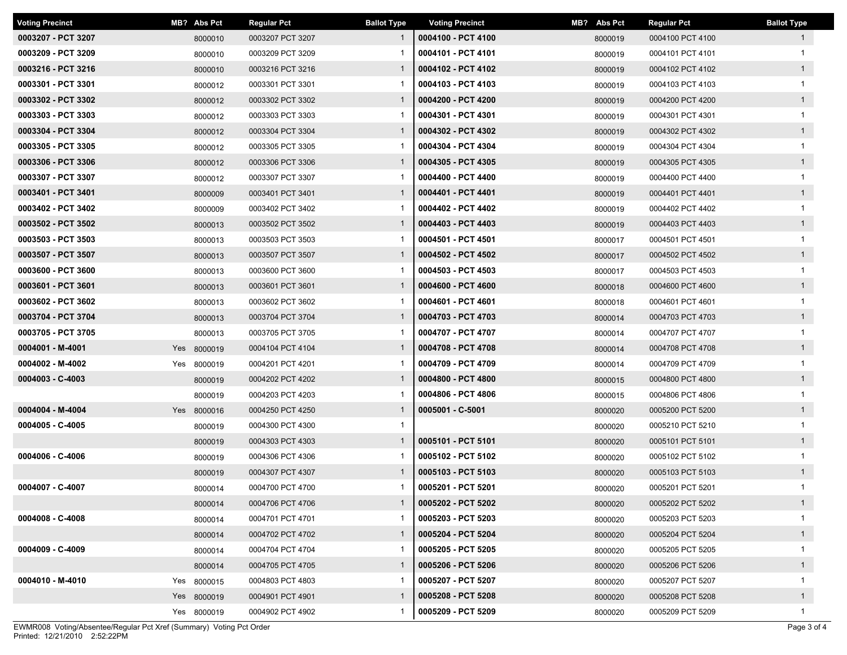| <b>Voting Precinct</b> | MB? Abs Pct | <b>Regular Pct</b> | <b>Ballot Type</b> | <b>Voting Precinct</b> | MB? Abs Pct | <b>Regular Pct</b> | <b>Ballot Type</b> |
|------------------------|-------------|--------------------|--------------------|------------------------|-------------|--------------------|--------------------|
| 0003207 - PCT 3207     | 8000010     | 0003207 PCT 3207   | $\mathbf{1}$       | 0004100 - PCT 4100     | 8000019     | 0004100 PCT 4100   | $\mathbf{1}$       |
| 0003209 - PCT 3209     | 8000010     | 0003209 PCT 3209   |                    | 0004101 - PCT 4101     | 8000019     | 0004101 PCT 4101   |                    |
| 0003216 - PCT 3216     | 8000010     | 0003216 PCT 3216   | $\mathbf{1}$       | 0004102 - PCT 4102     | 8000019     | 0004102 PCT 4102   | $\mathbf{1}$       |
| 0003301 - PCT 3301     | 8000012     | 0003301 PCT 3301   |                    | 0004103 - PCT 4103     | 8000019     | 0004103 PCT 4103   |                    |
| 0003302 - PCT 3302     | 8000012     | 0003302 PCT 3302   | $\mathbf{1}$       | 0004200 - PCT 4200     | 8000019     | 0004200 PCT 4200   | $\overline{1}$     |
| 0003303 - PCT 3303     | 8000012     | 0003303 PCT 3303   |                    | 0004301 - PCT 4301     | 8000019     | 0004301 PCT 4301   |                    |
| 0003304 - PCT 3304     | 8000012     | 0003304 PCT 3304   | $\mathbf{1}$       | 0004302 - PCT 4302     | 8000019     | 0004302 PCT 4302   | $\mathbf{1}$       |
| 0003305 - PCT 3305     | 8000012     | 0003305 PCT 3305   | -1                 | 0004304 - PCT 4304     | 8000019     | 0004304 PCT 4304   |                    |
| 0003306 - PCT 3306     | 8000012     | 0003306 PCT 3306   | $\mathbf{1}$       | 0004305 - PCT 4305     | 8000019     | 0004305 PCT 4305   | $\mathbf{1}$       |
| 0003307 - PCT 3307     | 8000012     | 0003307 PCT 3307   | -1                 | 0004400 - PCT 4400     | 8000019     | 0004400 PCT 4400   | $\mathbf{1}$       |
| 0003401 - PCT 3401     | 8000009     | 0003401 PCT 3401   | $\mathbf{1}$       | 0004401 - PCT 4401     | 8000019     | 0004401 PCT 4401   | $\mathbf{1}$       |
| 0003402 - PCT 3402     | 8000009     | 0003402 PCT 3402   |                    | 0004402 - PCT 4402     | 8000019     | 0004402 PCT 4402   | $\mathbf{1}$       |
| 0003502 - PCT 3502     | 8000013     | 0003502 PCT 3502   | $\mathbf{1}$       | 0004403 - PCT 4403     | 8000019     | 0004403 PCT 4403   | $\mathbf{1}$       |
| 0003503 - PCT 3503     | 8000013     | 0003503 PCT 3503   |                    | 0004501 - PCT 4501     | 8000017     | 0004501 PCT 4501   |                    |
| 0003507 - PCT 3507     | 8000013     | 0003507 PCT 3507   | $\mathbf{1}$       | 0004502 - PCT 4502     | 8000017     | 0004502 PCT 4502   | $\mathbf{1}$       |
| 0003600 - PCT 3600     | 8000013     | 0003600 PCT 3600   |                    | 0004503 - PCT 4503     | 8000017     | 0004503 PCT 4503   |                    |
| 0003601 - PCT 3601     | 8000013     | 0003601 PCT 3601   | $\mathbf{1}$       | 0004600 - PCT 4600     | 8000018     | 0004600 PCT 4600   | $\overline{1}$     |
| 0003602 - PCT 3602     | 8000013     | 0003602 PCT 3602   |                    | 0004601 - PCT 4601     | 8000018     | 0004601 PCT 4601   |                    |
| 0003704 - PCT 3704     | 8000013     | 0003704 PCT 3704   | $\mathbf{1}$       | 0004703 - PCT 4703     | 8000014     | 0004703 PCT 4703   | $\mathbf{1}$       |
| 0003705 - PCT 3705     | 8000013     | 0003705 PCT 3705   | -1                 | 0004707 - PCT 4707     | 8000014     | 0004707 PCT 4707   |                    |
| 0004001 - M-4001       | Yes 8000019 | 0004104 PCT 4104   | $\mathbf{1}$       | 0004708 - PCT 4708     | 8000014     | 0004708 PCT 4708   | $\mathbf{1}$       |
| 0004002 - M-4002       | Yes 8000019 | 0004201 PCT 4201   | -1                 | 0004709 - PCT 4709     | 8000014     | 0004709 PCT 4709   | $\mathbf{1}$       |
| $0004003 - C - 4003$   | 8000019     | 0004202 PCT 4202   | $\mathbf{1}$       | 0004800 - PCT 4800     | 8000015     | 0004800 PCT 4800   | $\mathbf{1}$       |
|                        | 8000019     | 0004203 PCT 4203   |                    | 0004806 - PCT 4806     | 8000015     | 0004806 PCT 4806   | $\mathbf{1}$       |
| 0004004 - M-4004       | Yes 8000016 | 0004250 PCT 4250   | $\mathbf{1}$       | 0005001 - C-5001       | 8000020     | 0005200 PCT 5200   | $\mathbf{1}$       |
| 0004005 - C-4005       | 8000019     | 0004300 PCT 4300   | $\mathbf{1}$       |                        | 8000020     | 0005210 PCT 5210   |                    |
|                        | 8000019     | 0004303 PCT 4303   | $\mathbf{1}$       | 0005101 - PCT 5101     | 8000020     | 0005101 PCT 5101   | $\mathbf{1}$       |
| 0004006 - C-4006       | 8000019     | 0004306 PCT 4306   |                    | 0005102 - PCT 5102     | 8000020     | 0005102 PCT 5102   |                    |
|                        | 8000019     | 0004307 PCT 4307   | $\mathbf{1}$       | 0005103 - PCT 5103     | 8000020     | 0005103 PCT 5103   | $\mathbf{1}$       |
| 0004007 - C-4007       | 8000014     | 0004700 PCT 4700   |                    | 0005201 - PCT 5201     | 8000020     | 0005201 PCT 5201   |                    |
|                        | 8000014     | 0004706 PCT 4706   | $\mathbf{1}$       | 0005202 - PCT 5202     | 8000020     | 0005202 PCT 5202   | $\mathbf{1}$       |
| 0004008 - C-4008       | 8000014     | 0004701 PCT 4701   | -1                 | 0005203 - PCT 5203     | 8000020     | 0005203 PCT 5203   |                    |
|                        | 8000014     | 0004702 PCT 4702   | $\mathbf{1}$       | 0005204 - PCT 5204     | 8000020     | 0005204 PCT 5204   | $\mathbf{1}$       |
| 0004009 - C-4009       | 8000014     | 0004704 PCT 4704   | 1                  | 0005205 - PCT 5205     | 8000020     | 0005205 PCT 5205   | $\mathbf{1}$       |
|                        | 8000014     | 0004705 PCT 4705   | $\mathbf{1}$       | 0005206 - PCT 5206     | 8000020     | 0005206 PCT 5206   | $\mathbf{1}$       |
| 0004010 - M-4010       | Yes 8000015 | 0004803 PCT 4803   |                    | 0005207 - PCT 5207     | 8000020     | 0005207 PCT 5207   | $\mathbf{1}$       |
|                        | Yes 8000019 | 0004901 PCT 4901   | $\mathbf{1}$       | 0005208 - PCT 5208     | 8000020     | 0005208 PCT 5208   | $\mathbf{1}$       |
|                        | Yes 8000019 | 0004902 PCT 4902   | 1                  | 0005209 - PCT 5209     | 8000020     | 0005209 PCT 5209   | $\mathbf{1}$       |